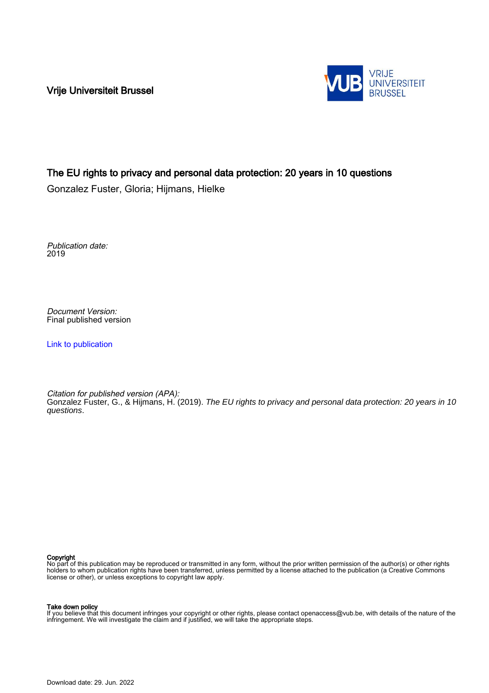Vrije Universiteit Brussel



## The EU rights to privacy and personal data protection: 20 years in 10 questions

Gonzalez Fuster, Gloria; Hijmans, Hielke

Publication date: 2019

Document Version: Final published version

[Link to publication](https://researchportal.vub.be/en/publications/be212699-84ad-44e8-88db-73548a725883)

Citation for published version (APA): Gonzalez Fuster, G., & Hijmans, H. (2019). The EU rights to privacy and personal data protection: 20 years in 10 questions.

Copyright

No part of this publication may be reproduced or transmitted in any form, without the prior written permission of the author(s) or other rights holders to whom publication rights have been transferred, unless permitted by a license attached to the publication (a Creative Commons license or other), or unless exceptions to copyright law apply.

#### Take down policy

If you believe that this document infringes your copyright or other rights, please contact openaccess@vub.be, with details of the nature of the infringement. We will investigate the claim and if justified, we will take the appropriate steps.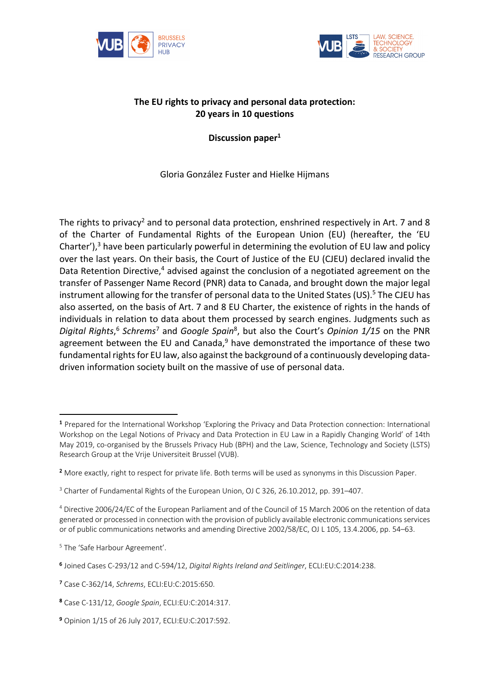



# **The EU rights to privacy and personal data protection: 20 years in 10 questions**

**Discussion paper1**

Gloria González Fuster and Hielke Hijmans

The rights to privacy<sup>2</sup> and to personal data protection, enshrined respectively in Art. 7 and 8 of the Charter of Fundamental Rights of the European Union (EU) (hereafter, the 'EU Charter'),<sup>3</sup> have been particularly powerful in determining the evolution of EU law and policy over the last years. On their basis, the Court of Justice of the EU (CJEU) declared invalid the Data Retention Directive, $4$  advised against the conclusion of a negotiated agreement on the transfer of Passenger Name Record (PNR) data to Canada, and brought down the major legal instrument allowing for the transfer of personal data to the United States (US).<sup>5</sup> The CJEU has also asserted, on the basis of Art. 7 and 8 EU Charter, the existence of rights in the hands of individuals in relation to data about them processed by search engines. Judgments such as *Digital Rights*, <sup>6</sup> *Schrems*<sup>7</sup> and *Google Spain*8, but also the Court's *Opinion 1/15* on the PNR agreement between the EU and Canada,<sup>9</sup> have demonstrated the importance of these two fundamental rights for EU law, also against the background of a continuously developing datadriven information society built on the massive of use of personal data.

<sup>1</sup> Prepared for the International Workshop 'Exploring the Privacy and Data Protection connection: International Workshop on the Legal Notions of Privacy and Data Protection in EU Law in a Rapidly Changing World' of 14th May 2019, co-organised by the Brussels Privacy Hub (BPH) and the Law, Science, Technology and Society (LSTS) Research Group at the Vrije Universiteit Brussel (VUB).

<sup>2</sup> More exactly, right to respect for private life. Both terms will be used as synonyms in this Discussion Paper.

<sup>&</sup>lt;sup>3</sup> Charter of Fundamental Rights of the European Union, OJ C 326, 26.10.2012, pp. 391-407.

<sup>4</sup> Directive 2006/24/EC of the European Parliament and of the Council of 15 March 2006 on the retention of data generated or processed in connection with the provision of publicly available electronic communications services or of public communications networks and amending Directive 2002/58/EC, OJ L 105, 13.4.2006, pp. 54–63.

<sup>5</sup> The 'Safe Harbour Agreement'.

<sup>6</sup> Joined Cases C-293/12 and C-594/12, *Digital Rights Ireland and Seitlinger*, ECLI:EU:C:2014:238.

<sup>7</sup> Case C-362/14, *Schrems*, ECLI:EU:C:2015:650.

<sup>8</sup> Case C-131/12, *Google Spain*, ECLI:EU:C:2014:317.

<sup>9</sup> Opinion 1/15 of 26 July 2017, ECLI:EU:C:2017:592.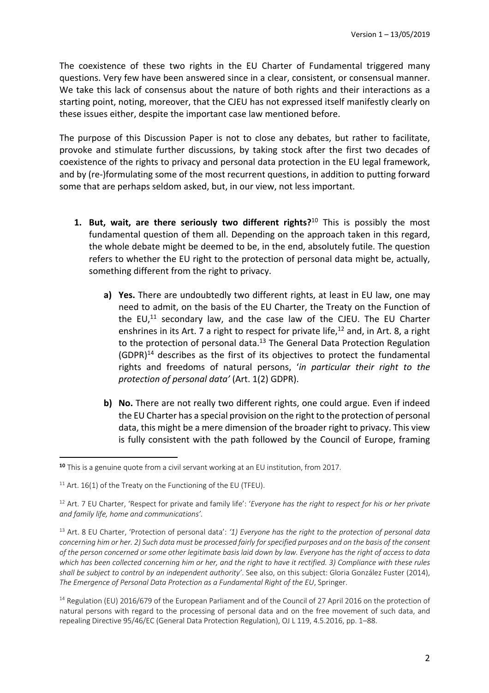The coexistence of these two rights in the EU Charter of Fundamental triggered many questions. Very few have been answered since in a clear, consistent, or consensual manner. We take this lack of consensus about the nature of both rights and their interactions as a starting point, noting, moreover, that the CJEU has not expressed itself manifestly clearly on these issues either, despite the important case law mentioned before.

The purpose of this Discussion Paper is not to close any debates, but rather to facilitate, provoke and stimulate further discussions, by taking stock after the first two decades of coexistence of the rights to privacy and personal data protection in the EU legal framework, and by (re-)formulating some of the most recurrent questions, in addition to putting forward some that are perhaps seldom asked, but, in our view, not less important.

- **1. But, wait, are there seriously two different rights?**<sup>10</sup> This is possibly the most fundamental question of them all. Depending on the approach taken in this regard, the whole debate might be deemed to be, in the end, absolutely futile. The question refers to whether the EU right to the protection of personal data might be, actually, something different from the right to privacy.
	- **a) Yes.** There are undoubtedly two different rights, at least in EU law, one may need to admit, on the basis of the EU Charter, the Treaty on the Function of the  $EU<sup>11</sup>$  secondary law, and the case law of the CJEU. The EU Charter enshrines in its Art. 7 a right to respect for private life, $^{12}$  and, in Art. 8, a right to the protection of personal data. $13$  The General Data Protection Regulation (GDPR)14 describes as the first of its objectives to protect the fundamental rights and freedoms of natural persons, '*in particular their right to the protection of personal data'* (Art. 1(2) GDPR).
	- **b) No.** There are not really two different rights, one could argue. Even if indeed the EU Charter has a special provision on the right to the protection of personal data, this might be a mere dimension of the broader right to privacy. This view is fully consistent with the path followed by the Council of Europe, framing

<sup>&</sup>lt;sup>10</sup> This is a genuine quote from a civil servant working at an EU institution, from 2017.

 $11$  Art. 16(1) of the Treaty on the Functioning of the EU (TFEU).

<sup>12</sup> Art. 7 EU Charter, 'Respect for private and family life': '*Everyone has the right to respect for his or her private and family life, home and communications'.*

<sup>13</sup> Art. 8 EU Charter, 'Protection of personal data': *'1) Everyone has the right to the protection of personal data concerning him or her. 2) Such data must be processed fairly for specified purposes and on the basis of the consent of the person concerned or some other legitimate basis laid down by law. Everyone has the right of access to data which has been collected concerning him or her, and the right to have it rectified. 3) Compliance with these rules shall be subject to control by an independent authority'*. See also, on this subject: Gloria González Fuster (2014), *The Emergence of Personal Data Protection as a Fundamental Right of the EU*, Springer.

<sup>&</sup>lt;sup>14</sup> Regulation (EU) 2016/679 of the European Parliament and of the Council of 27 April 2016 on the protection of natural persons with regard to the processing of personal data and on the free movement of such data, and repealing Directive 95/46/EC (General Data Protection Regulation), OJ L 119, 4.5.2016, pp. 1–88.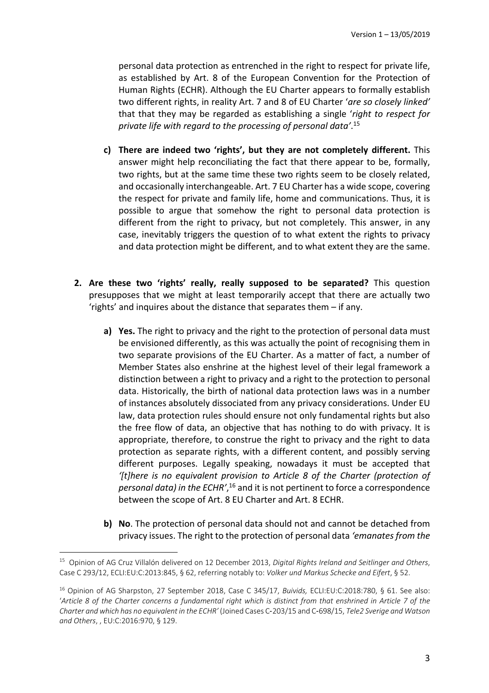personal data protection as entrenched in the right to respect for private life, as established by Art. 8 of the European Convention for the Protection of Human Rights (ECHR). Although the EU Charter appears to formally establish two different rights, in reality Art. 7 and 8 of EU Charter '*are so closely linked'* that that they may be regarded as establishing a single '*right to respect for private life with regard to the processing of personal data'*. 15

- **c) There are indeed two 'rights', but they are not completely different.** This answer might help reconciliating the fact that there appear to be, formally, two rights, but at the same time these two rights seem to be closely related, and occasionally interchangeable. Art. 7 EU Charter has a wide scope, covering the respect for private and family life, home and communications. Thus, it is possible to argue that somehow the right to personal data protection is different from the right to privacy, but not completely. This answer, in any case, inevitably triggers the question of to what extent the rights to privacy and data protection might be different, and to what extent they are the same.
- **2. Are these two 'rights' really, really supposed to be separated?** This question presupposes that we might at least temporarily accept that there are actually two 'rights' and inquires about the distance that separates them – if any.
	- **a) Yes.** The right to privacy and the right to the protection of personal data must be envisioned differently, as this was actually the point of recognising them in two separate provisions of the EU Charter. As a matter of fact, a number of Member States also enshrine at the highest level of their legal framework a distinction between a right to privacy and a right to the protection to personal data. Historically, the birth of national data protection laws was in a number of instances absolutely dissociated from any privacy considerations. Under EU law, data protection rules should ensure not only fundamental rights but also the free flow of data, an objective that has nothing to do with privacy. It is appropriate, therefore, to construe the right to privacy and the right to data protection as separate rights, with a different content, and possibly serving different purposes. Legally speaking, nowadays it must be accepted that *'[t]here is no equivalent provision to Article 8 of the Charter (protection of personal data) in the ECHR'*, <sup>16</sup> and it is not pertinent to force a correspondence between the scope of Art. 8 EU Charter and Art. 8 ECHR.
	- **b) No**. The protection of personal data should not and cannot be detached from privacy issues. The right to the protection of personal data *'emanates from the*

<sup>15</sup> Opinion of AG Cruz Villalón delivered on 12 December 2013, *Digital Rights Ireland and Seitlinger and Others*, Case C 293/12, ECLI:EU:C:2013:845, § 62, referring notably to: *Volker und Markus Schecke and Eifert*, § 52.

<sup>16</sup> Opinion of AG Sharpston, 27 September 2018, Case C 345/17, *Buivids,* ECLI:EU:C:2018:780, § 61. See also: '*Article 8 of the Charter concerns a fundamental right which is distinct from that enshrined in Article 7 of the Charter and which has no equivalent in the ECHR'* (Joined Cases C-203/15 and C-698/15, *Tele2 Sverige and Watson and Others*, , EU:C:2016:970, § 129.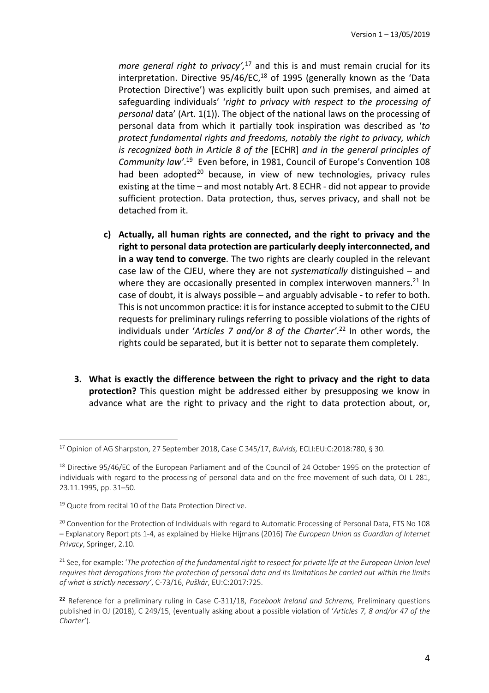*more general right to privacy',* <sup>17</sup> and this is and must remain crucial for its interpretation. Directive  $95/46$ /EC,<sup>18</sup> of 1995 (generally known as the 'Data Protection Directive') was explicitly built upon such premises, and aimed at safeguarding individuals' '*right to privacy with respect to the processing of personal* data' (Art. 1(1)). The object of the national laws on the processing of personal data from which it partially took inspiration was described as '*to protect fundamental rights and freedoms, notably the right to privacy, which is recognized both in Article 8 of the* [ECHR] *and in the general principles of Community law'*. 19 Even before, in 1981, Council of Europe's Convention 108 had been adopted<sup>20</sup> because, in view of new technologies, privacy rules existing at the time – and most notably Art. 8 ECHR - did not appear to provide sufficient protection. Data protection, thus, serves privacy, and shall not be detached from it.

- **c) Actually, all human rights are connected, and the right to privacy and the right to personal data protection are particularly deeply interconnected, and in a way tend to converge**. The two rights are clearly coupled in the relevant case law of the CJEU, where they are not *systematically* distinguished – and where they are occasionally presented in complex interwoven manners. $^{21}$  In case of doubt, it is always possible – and arguably advisable - to refer to both. This is not uncommon practice: it is for instance accepted to submit to the CJEU requests for preliminary rulings referring to possible violations of the rights of individuals under '*Articles 7 and/or 8 of the Charter'*. <sup>22</sup> In other words, the rights could be separated, but it is better not to separate them completely.
- **3. What is exactly the difference between the right to privacy and the right to data protection?** This question might be addressed either by presupposing we know in advance what are the right to privacy and the right to data protection about, or,

<sup>17</sup> Opinion of AG Sharpston, 27 September 2018, Case C 345/17, *Buivids,* ECLI:EU:C:2018:780, § 30.

<sup>&</sup>lt;sup>18</sup> Directive 95/46/EC of the European Parliament and of the Council of 24 October 1995 on the protection of individuals with regard to the processing of personal data and on the free movement of such data, OJ L 281, 23.11.1995, pp. 31–50.

<sup>&</sup>lt;sup>19</sup> Quote from recital 10 of the Data Protection Directive.

<sup>&</sup>lt;sup>20</sup> Convention for the Protection of Individuals with regard to Automatic Processing of Personal Data, ETS No 108 – Explanatory Report pts 1-4, as explained by Hielke Hijmans (2016) *The European Union as Guardian of Internet Privacy*, Springer, 2.10.

<sup>&</sup>lt;sup>21</sup> See, for example: '*The protection of the fundamental right to respect for private life at the European Union level requires that derogations from the protection of personal data and its limitations be carried out within the limits of what is strictly necessary'*, C-73/16, *Puškár*, EU:C:2017:725.

<sup>22</sup> Reference for a preliminary ruling in Case C-311/18, *Facebook Ireland and Schrems,* Preliminary questions published in OJ (2018), C 249/15, (eventually asking about a possible violation of '*Articles 7, 8 and/or 47 of the Charter'*).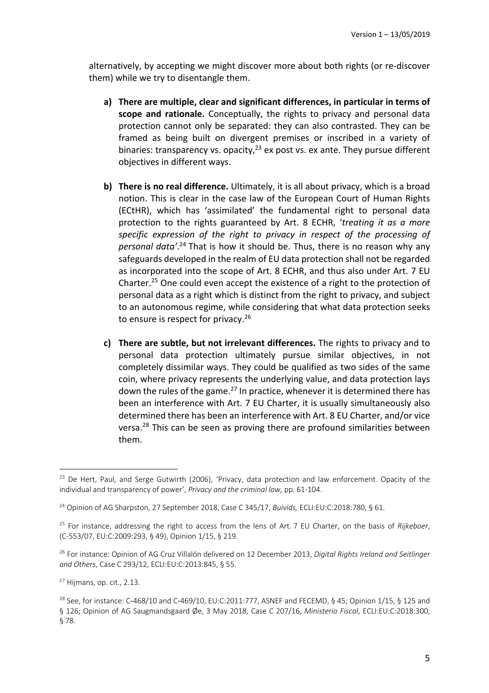alternatively, by accepting we might discover more about both rights (or re-discover them) while we try to disentangle them.

- **a) There are multiple, clear and significant differences, in particular in terms of scope and rationale.** Conceptually, the rights to privacy and personal data protection cannot only be separated: they can also contrasted. They can be framed as being built on divergent premises or inscribed in a variety of binaries: transparency vs. opacity, $2<sup>3</sup>$  ex post vs. ex ante. They pursue different objectives in different ways.
- **b) There is no real difference.** Ultimately, it is all about privacy, which is a broad notion. This is clear in the case law of the European Court of Human Rights (ECtHR), which has 'assimilated' the fundamental right to personal data protection to the rights guaranteed by Art. 8 ECHR, '*treating it as a more specific expression of the right to privacy in respect of the processing of personal data'*. <sup>24</sup> That is how it should be. Thus, there is no reason why any safeguards developed in the realm of EU data protection shall not be regarded as incorporated into the scope of Art. 8 ECHR, and thus also under Art. 7 EU Charter.25 One could even accept the existence of a right to the protection of personal data as a right which is distinct from the right to privacy, and subject to an autonomous regime, while considering that what data protection seeks to ensure is respect for privacy.<sup>26</sup>
- **c) There are subtle, but not irrelevant differences.** The rights to privacy and to personal data protection ultimately pursue similar objectives, in not completely dissimilar ways. They could be qualified as two sides of the same coin, where privacy represents the underlying value, and data protection lays down the rules of the game.<sup>27</sup> In practice, whenever it is determined there has been an interference with Art. 7 EU Charter, it is usually simultaneously also determined there has been an interference with Art. 8 EU Charter, and/or vice versa.28 This can be seen as proving there are profound similarities between them.

<sup>&</sup>lt;sup>23</sup> De Hert, Paul, and Serge Gutwirth (2006), 'Privacy, data protection and law enforcement. Opacity of the individual and transparency of power', *Privacy and the criminal law,* pp. 61-104.

<sup>24</sup> Opinion of AG Sharpston, 27 September 2018, Case C 345/17, *Buivids,* ECLI:EU:C:2018:780, § 61.

<sup>25</sup> For instance, addressing the right to access from the lens of Art. 7 EU Charter, on the basis of *Rijkeboer*, (C-553/07, EU:C:2009:293, § 49), Opinion 1/15, § 219.

<sup>26</sup> For instance: Opinion of AG Cruz Villalón delivered on 12 December 2013, *Digital Rights Ireland and Seitlinger and Others*, Case C 293/12, ECLI:EU:C:2013:845, § 55.

 $27$  Hijmans, op. cit., 2.13.

<sup>&</sup>lt;sup>28</sup> See, for instance: C-468/10 and C-469/10, EU:C:2011:777, ASNEF and FECEMD, § 45; Opinion 1/15, § 125 and § 126; Opinion of AG Saugmandsgaard Øe, 3 May 2018, Case C 207/16, *Ministerio Fiscal*, ECLI:EU:C:2018:300, § 78.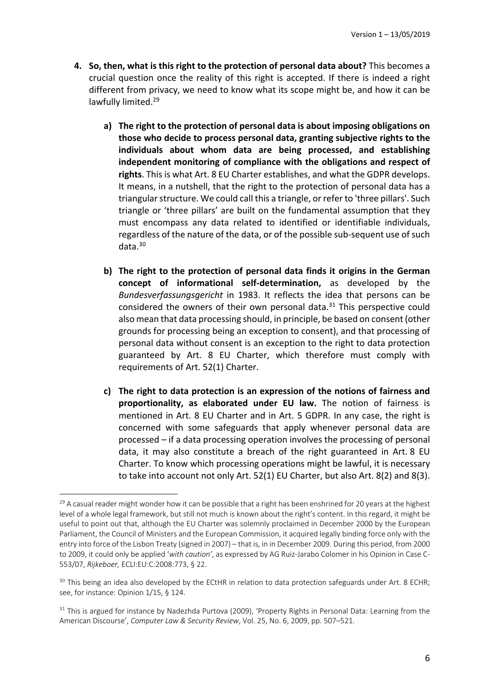- **4. So, then, what is this right to the protection of personal data about?** This becomes a crucial question once the reality of this right is accepted. If there is indeed a right different from privacy, we need to know what its scope might be, and how it can be lawfully limited.<sup>29</sup>
	- **a) The right to the protection of personal data is about imposing obligations on those who decide to process personal data, granting subjective rights to the individuals about whom data are being processed, and establishing independent monitoring of compliance with the obligations and respect of rights**. This is what Art. 8 EU Charter establishes, and what the GDPR develops. It means, in a nutshell, that the right to the protection of personal data has a triangular structure. We could call this a triangle, or refer to 'three pillars'. Such triangle or 'three pillars' are built on the fundamental assumption that they must encompass any data related to identified or identifiable individuals, regardless of the nature of the data, or of the possible sub-sequent use of such data.30
	- **b) The right to the protection of personal data finds it origins in the German concept of informational self-determination,** as developed by the *Bundesverfassungsgericht* in 1983. It reflects the idea that persons can be considered the owners of their own personal data. $31$  This perspective could also mean that data processing should, in principle, be based on consent (other grounds for processing being an exception to consent), and that processing of personal data without consent is an exception to the right to data protection guaranteed by Art. 8 EU Charter, which therefore must comply with requirements of Art. 52(1) Charter.
	- **c) The right to data protection is an expression of the notions of fairness and proportionality, as elaborated under EU law.** The notion of fairness is mentioned in Art. 8 EU Charter and in Art. 5 GDPR. In any case, the right is concerned with some safeguards that apply whenever personal data are processed – if a data processing operation involves the processing of personal data, it may also constitute a breach of the right guaranteed in Art. 8 EU Charter. To know which processing operations might be lawful, it is necessary to take into account not only Art. 52(1) EU Charter, but also Art. 8(2) and 8(3).

<sup>&</sup>lt;sup>29</sup> A casual reader might wonder how it can be possible that a right has been enshrined for 20 years at the highest level of a whole legal framework, but still not much is known about the right's content. In this regard, it might be useful to point out that, although the EU Charter was solemnly proclaimed in December 2000 by the European Parliament, the Council of Ministers and the European Commission, it acquired legally binding force only with the entry into force of the Lisbon Treaty (signed in 2007) – that is, in in December 2009. During this period, from 2000 to 2009, it could only be applied '*with caution'*, as expressed by AG Ruiz-Jarabo Colomer in his Opinion in Case C-553/07, *Rijkeboer,* ECLI:EU:C:2008:773, § 22.

 $30$  This being an idea also developed by the ECtHR in relation to data protection safeguards under Art. 8 ECHR; see, for instance: Opinion 1/15, § 124.

<sup>&</sup>lt;sup>31</sup> This is argued for instance by Nadezhda Purtova (2009), 'Property Rights in Personal Data: Learning from the American Discourse', *Computer Law & Security Review*, Vol. 25, No. 6, 2009, pp. 507–521.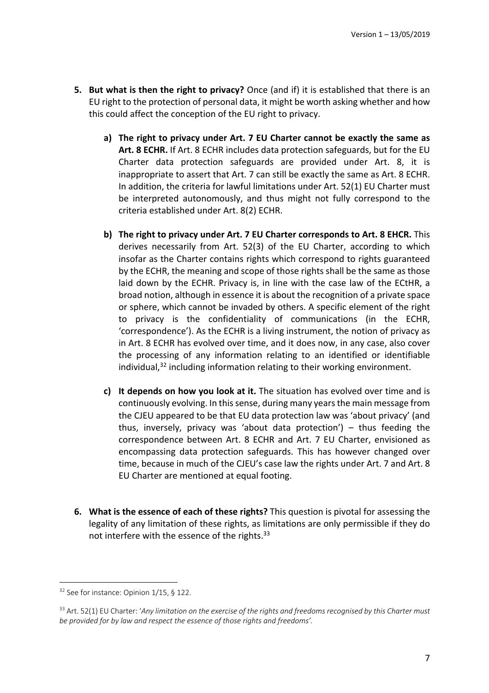- **5. But what is then the right to privacy?** Once (and if) it is established that there is an EU right to the protection of personal data, it might be worth asking whether and how this could affect the conception of the EU right to privacy.
	- **a) The right to privacy under Art. 7 EU Charter cannot be exactly the same as Art. 8 ECHR.** If Art. 8 ECHR includes data protection safeguards, but for the EU Charter data protection safeguards are provided under Art. 8, it is inappropriate to assert that Art. 7 can still be exactly the same as Art. 8 ECHR. In addition, the criteria for lawful limitations under Art. 52(1) EU Charter must be interpreted autonomously, and thus might not fully correspond to the criteria established under Art. 8(2) ECHR.
	- **b) The right to privacy under Art. 7 EU Charter corresponds to Art. 8 EHCR.** This derives necessarily from Art. 52(3) of the EU Charter, according to which insofar as the Charter contains rights which correspond to rights guaranteed by the ECHR, the meaning and scope of those rights shall be the same as those laid down by the ECHR. Privacy is, in line with the case law of the ECtHR, a broad notion, although in essence it is about the recognition of a private space or sphere, which cannot be invaded by others. A specific element of the right to privacy is the confidentiality of communications (in the ECHR, 'correspondence'). As the ECHR is a living instrument, the notion of privacy as in Art. 8 ECHR has evolved over time, and it does now, in any case, also cover the processing of any information relating to an identified or identifiable individual, <sup>32</sup> including information relating to their working environment.
	- **c) It depends on how you look at it.** The situation has evolved over time and is continuously evolving. In this sense, during many years the main message from the CJEU appeared to be that EU data protection law was 'about privacy' (and thus, inversely, privacy was 'about data protection') – thus feeding the correspondence between Art. 8 ECHR and Art. 7 EU Charter, envisioned as encompassing data protection safeguards. This has however changed over time, because in much of the CJEU's case law the rights under Art. 7 and Art. 8 EU Charter are mentioned at equal footing.
- **6. What is the essence of each of these rights?** This question is pivotal for assessing the legality of any limitation of these rights, as limitations are only permissible if they do not interfere with the essence of the rights.<sup>33</sup>

 $\overline{a}$ <sup>32</sup> See for instance: Opinion 1/15, § 122.

<sup>&</sup>lt;sup>33</sup> Art. 52(1) EU Charter: 'Any limitation on the exercise of the rights and freedoms recognised by this Charter must *be provided for by law and respect the essence of those rights and freedoms'.*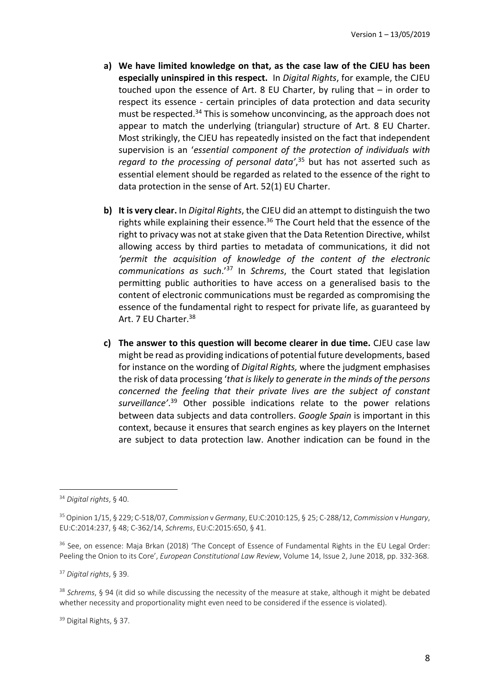- **a) We have limited knowledge on that, as the case law of the CJEU has been especially uninspired in this respect.** In *Digital Rights*, for example, the CJEU touched upon the essence of Art. 8 EU Charter, by ruling that – in order to respect its essence - certain principles of data protection and data security must be respected.<sup>34</sup> This is somehow unconvincing, as the approach does not appear to match the underlying (triangular) structure of Art. 8 EU Charter. Most strikingly, the CJEU has repeatedly insisted on the fact that independent supervision is an '*essential component of the protection of individuals with regard to the processing of personal data'*, <sup>35</sup> but has not asserted such as essential element should be regarded as related to the essence of the right to data protection in the sense of Art. 52(1) EU Charter.
- **b) It is very clear.** In *Digital Rights*, the CJEU did an attempt to distinguish the two rights while explaining their essence.<sup>36</sup> The Court held that the essence of the right to privacy was not at stake given that the Data Retention Directive, whilst allowing access by third parties to metadata of communications, it did not *'permit the acquisition of knowledge of the content of the electronic communications as such*.' <sup>37</sup> In *Schrems*, the Court stated that legislation permitting public authorities to have access on a generalised basis to the content of electronic communications must be regarded as compromising the essence of the fundamental right to respect for private life, as guaranteed by Art. 7 EU Charter.<sup>38</sup>
- **c) The answer to this question will become clearer in due time.** CJEU case law might be read as providing indications of potential future developments, based for instance on the wording of *Digital Rights,* where the judgment emphasises the risk of data processing '*that is likely to generate in the minds of the persons concerned the feeling that their private lives are the subject of constant surveillance'*. <sup>39</sup> Other possible indications relate to the power relations between data subjects and data controllers. *Google Spain* is important in this context, because it ensures that search engines as key players on the Internet are subject to data protection law. Another indication can be found in the

<sup>34</sup> *Digital rights*, § 40.

<sup>35</sup> Opinion 1/15, § 229; C-518/07, *Commission* v *Germany*, EU:C:2010:125, § 25; C-288/12, *Commission* v *Hungary*, EU:C:2014:237, § 48; C-362/14, *Schrems*, EU:C:2015:650, § 41.

<sup>&</sup>lt;sup>36</sup> See, on essence: Maja Brkan (2018) 'The Concept of Essence of Fundamental Rights in the EU Legal Order: Peeling the Onion to its Core', *European Constitutional Law Review*, Volume 14, Issue 2, June 2018, pp. 332-368.

<sup>37</sup> *Digital rights*, § 39.

<sup>38</sup> *Schrems*, § 94 (it did so while discussing the necessity of the measure at stake, although it might be debated whether necessity and proportionality might even need to be considered if the essence is violated).

<sup>39</sup> Digital Rights, § 37.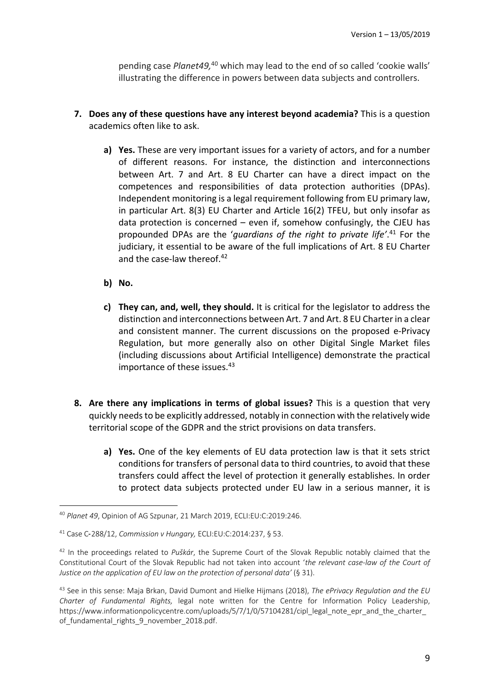pending case *Planet49,* <sup>40</sup> which may lead to the end of so called 'cookie walls' illustrating the difference in powers between data subjects and controllers.

- **7. Does any of these questions have any interest beyond academia?** This is a question academics often like to ask.
	- **a) Yes.** These are very important issues for a variety of actors, and for a number of different reasons. For instance, the distinction and interconnections between Art. 7 and Art. 8 EU Charter can have a direct impact on the competences and responsibilities of data protection authorities (DPAs). Independent monitoring is a legal requirement following from EU primary law, in particular Art. 8(3) EU Charter and Article 16(2) TFEU, but only insofar as data protection is concerned  $-$  even if, somehow confusingly, the CJEU has propounded DPAs are the '*guardians of the right to private life'*. <sup>41</sup> For the judiciary, it essential to be aware of the full implications of Art. 8 EU Charter and the case-law thereof.<sup>42</sup>
	- **b) No.**

- **c) They can, and, well, they should.** It is critical for the legislator to address the distinction and interconnections between Art. 7 and Art. 8 EU Charter in a clear and consistent manner. The current discussions on the proposed e-Privacy Regulation, but more generally also on other Digital Single Market files (including discussions about Artificial Intelligence) demonstrate the practical importance of these issues. 43
- **8. Are there any implications in terms of global issues?** This is a question that very quickly needs to be explicitly addressed, notably in connection with the relatively wide territorial scope of the GDPR and the strict provisions on data transfers.
	- **a) Yes.** One of the key elements of EU data protection law is that it sets strict conditions for transfers of personal data to third countries, to avoid that these transfers could affect the level of protection it generally establishes. In order to protect data subjects protected under EU law in a serious manner, it is

<sup>40</sup> *Planet 49*, Opinion of AG Szpunar, 21 March 2019, ECLI:EU:C:2019:246.

<sup>41</sup> Case C-288/12, *Commission v Hungary,* ECLI:EU:C:2014:237, § 53.

<sup>42</sup> In the proceedings related to *Puškár*, the Supreme Court of the Slovak Republic notably claimed that the Constitutional Court of the Slovak Republic had not taken into account '*the relevant case-law of the Court of Justice on the application of EU law on the protection of personal data'* (§ 31).

<sup>43</sup> See in this sense: Maja Brkan, David Dumont and Hielke Hijmans (2018), *The ePrivacy Regulation and the EU Charter of Fundamental Rights,* legal note written for the Centre for Information Policy Leadership, https://www.informationpolicycentre.com/uploads/5/7/1/0/57104281/cipl\_legal\_note\_epr\_and\_the\_charter of fundamental rights 9 november 2018.pdf.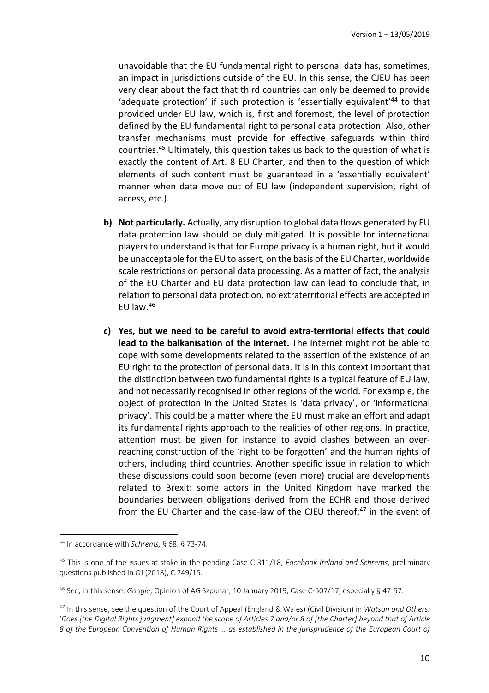unavoidable that the EU fundamental right to personal data has, sometimes, an impact in jurisdictions outside of the EU. In this sense, the CJEU has been very clear about the fact that third countries can only be deemed to provide 'adequate protection' if such protection is 'essentially equivalent'44 to that provided under EU law, which is, first and foremost, the level of protection defined by the EU fundamental right to personal data protection. Also, other transfer mechanisms must provide for effective safeguards within third countries.45 Ultimately, this question takes us back to the question of what is exactly the content of Art. 8 EU Charter, and then to the question of which elements of such content must be guaranteed in a 'essentially equivalent' manner when data move out of EU law (independent supervision, right of access, etc.).

- **b) Not particularly.** Actually, any disruption to global data flows generated by EU data protection law should be duly mitigated. It is possible for international players to understand is that for Europe privacy is a human right, but it would be unacceptable for the EU to assert, on the basis of the EU Charter, worldwide scale restrictions on personal data processing. As a matter of fact, the analysis of the EU Charter and EU data protection law can lead to conclude that, in relation to personal data protection, no extraterritorial effects are accepted in EU law. $46$
- **c) Yes, but we need to be careful to avoid extra-territorial effects that could lead to the balkanisation of the Internet.** The Internet might not be able to cope with some developments related to the assertion of the existence of an EU right to the protection of personal data. It is in this context important that the distinction between two fundamental rights is a typical feature of EU law, and not necessarily recognised in other regions of the world. For example, the object of protection in the United States is 'data privacy', or 'informational privacy'. This could be a matter where the EU must make an effort and adapt its fundamental rights approach to the realities of other regions. In practice, attention must be given for instance to avoid clashes between an overreaching construction of the 'right to be forgotten' and the human rights of others, including third countries. Another specific issue in relation to which these discussions could soon become (even more) crucial are developments related to Brexit: some actors in the United Kingdom have marked the boundaries between obligations derived from the ECHR and those derived from the EU Charter and the case-law of the CJEU thereof;<sup>47</sup> in the event of

<sup>44</sup> In accordance with *Schrems,* § 68, § 73-74.

<sup>45</sup> This is one of the issues at stake in the pending Case C-311/18, *Facebook Ireland and Schrems*, preliminary questions published in OJ (2018), C 249/15.

<sup>46</sup> See, in this sense: *Google*, Opinion of AG Szpunar, 10 January 2019, Case C-507/17, especially § 47-57.

<sup>47</sup> In this sense, see the question of the Court of Appeal (England & Wales) (Civil Division) in *Watson and Others:*  '*Does [the Digital Rights judgment] expand the scope of Articles 7 and/or 8 of [the Charter] beyond that of Article 8 of the European Convention of Human Rights … as established in the jurisprudence of the European Court of*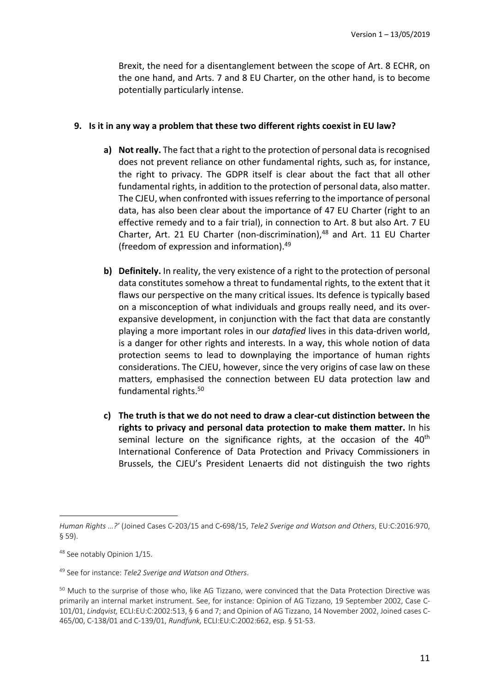Brexit, the need for a disentanglement between the scope of Art. 8 ECHR, on the one hand, and Arts. 7 and 8 EU Charter, on the other hand, is to become potentially particularly intense.

### **9. Is it in any way a problem that these two different rights coexist in EU law?**

- **a) Not really.** The fact that a right to the protection of personal data is recognised does not prevent reliance on other fundamental rights, such as, for instance, the right to privacy. The GDPR itself is clear about the fact that all other fundamental rights, in addition to the protection of personal data, also matter. The CJEU, when confronted with issues referring to the importance of personal data, has also been clear about the importance of 47 EU Charter (right to an effective remedy and to a fair trial), in connection to Art. 8 but also Art. 7 EU Charter, Art. 21 EU Charter (non-discrimination),<sup>48</sup> and Art. 11 EU Charter (freedom of expression and information).49
- **b) Definitely.** In reality, the very existence of a right to the protection of personal data constitutes somehow a threat to fundamental rights, to the extent that it flaws our perspective on the many critical issues. Its defence is typically based on a misconception of what individuals and groups really need, and its overexpansive development, in conjunction with the fact that data are constantly playing a more important roles in our *datafied* lives in this data-driven world, is a danger for other rights and interests. In a way, this whole notion of data protection seems to lead to downplaying the importance of human rights considerations. The CJEU, however, since the very origins of case law on these matters, emphasised the connection between EU data protection law and fundamental rights.50
- **c) The truth is that we do not need to draw a clear-cut distinction between the rights to privacy and personal data protection to make them matter.** In his seminal lecture on the significance rights, at the occasion of the  $40<sup>th</sup>$ International Conference of Data Protection and Privacy Commissioners in Brussels, the CJEU's President Lenaerts did not distinguish the two rights

*Human Rights …?'* (Joined Cases C-203/15 and C-698/15, *Tele2 Sverige and Watson and Others*, EU:C:2016:970, § 59).

<sup>48</sup> See notably Opinion 1/15.

<sup>49</sup> See for instance: *Tele2 Sverige and Watson and Others*.

<sup>50</sup> Much to the surprise of those who, like AG Tizzano, were convinced that the Data Protection Directive was primarily an internal market instrument. See, for instance: Opinion of AG Tizzano, 19 September 2002, Case C-101/01, *Lindqvist,* ECLI:EU:C:2002:513, § 6 and 7; and Opinion of AG Tizzano, 14 November 2002, Joined cases C-465/00, C-138/01 and C-139/01, *Rundfunk,* ECLI:EU:C:2002:662, esp. § 51-53.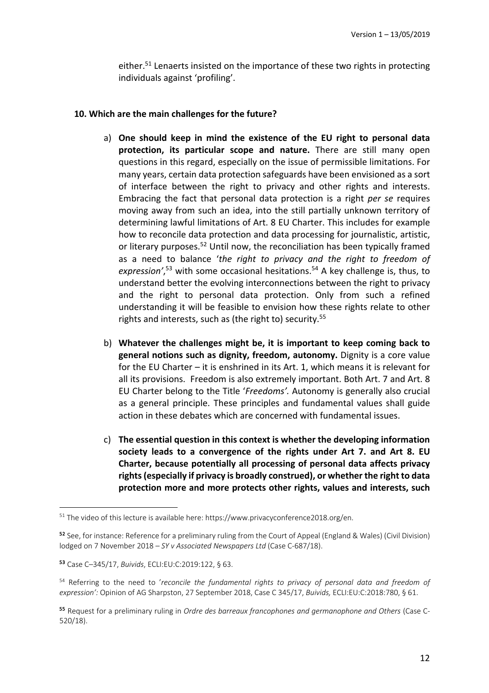either.<sup>51</sup> Lenaerts insisted on the importance of these two rights in protecting individuals against 'profiling'.

### **10. Which are the main challenges for the future?**

- a) **One should keep in mind the existence of the EU right to personal data protection, its particular scope and nature.** There are still many open questions in this regard, especially on the issue of permissible limitations. For many years, certain data protection safeguards have been envisioned as a sort of interface between the right to privacy and other rights and interests. Embracing the fact that personal data protection is a right *per se* requires moving away from such an idea, into the still partially unknown territory of determining lawful limitations of Art. 8 EU Charter. This includes for example how to reconcile data protection and data processing for journalistic, artistic, or literary purposes.<sup>52</sup> Until now, the reconciliation has been typically framed as a need to balance '*the right to privacy and the right to freedom of*  expression',<sup>53</sup> with some occasional hesitations.<sup>54</sup> A key challenge is, thus, to understand better the evolving interconnections between the right to privacy and the right to personal data protection. Only from such a refined understanding it will be feasible to envision how these rights relate to other rights and interests, such as (the right to) security.<sup>55</sup>
- b) **Whatever the challenges might be, it is important to keep coming back to general notions such as dignity, freedom, autonomy.** Dignity is a core value for the EU Charter – it is enshrined in its Art. 1, which means it is relevant for all its provisions. Freedom is also extremely important. Both Art. 7 and Art. 8 EU Charter belong to the Title '*Freedoms'.* Autonomy is generally also crucial as a general principle. These principles and fundamental values shall guide action in these debates which are concerned with fundamental issues.
- c) **The essential question in this context is whether the developing information society leads to a convergence of the rights under Art 7. and Art 8. EU Charter, because potentially all processing of personal data affects privacy rights (especially if privacy is broadly construed), or whether the right to data protection more and more protects other rights, values and interests, such**

<sup>&</sup>lt;sup>51</sup> The video of this lecture is available here: https://www.privacyconference2018.org/en.

<sup>52</sup> See, for instance: Reference for a preliminary ruling from the Court of Appeal (England & Wales) (Civil Division) lodged on 7 November 2018 – *SY v Associated Newspapers Ltd* (Case C-687/18).

<sup>53</sup> Case C–345/17, *Buivids*, ECLI:EU:C:2019:122, § 63.

<sup>54</sup> Referring to the need to '*reconcile the fundamental rights to privacy of personal data and freedom of expression':* Opinion of AG Sharpston, 27 September 2018, Case C 345/17, *Buivids,* ECLI:EU:C:2018:780, § 61.

<sup>55</sup> Request for a preliminary ruling in *Ordre des barreaux francophones and germanophone and Others* (Case C-520/18).